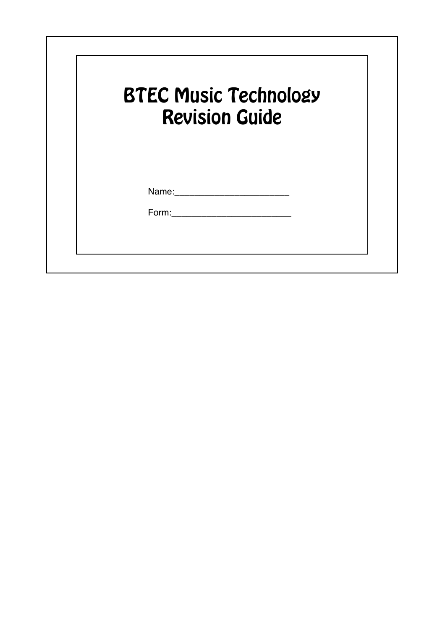|       | <b>BTEC Music Technology</b><br><b>Revision Guide</b> |  |
|-------|-------------------------------------------------------|--|
| Name: |                                                       |  |
| Form: |                                                       |  |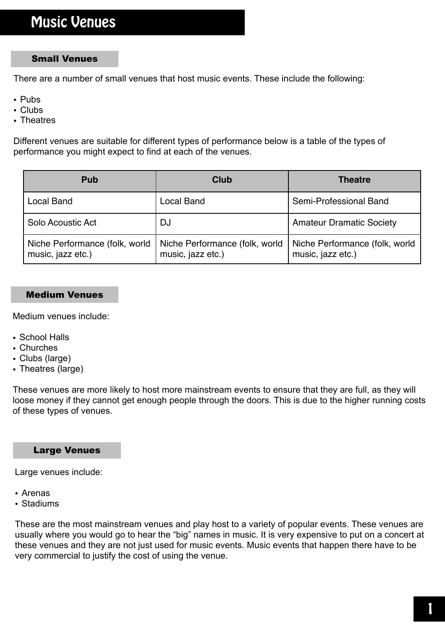# Music Venues

#### Small Venues

There are a number of small venues that host music events. These include the following:

- Pubs
- Clubs
- Theatres

Different venues are suitable for different types of performance below is a table of the types of performance you might expect to find at each of the venues.

| <b>Pub</b>                                          | Club                                                | <b>Theatre</b>                                      |
|-----------------------------------------------------|-----------------------------------------------------|-----------------------------------------------------|
| <b>Local Band</b>                                   | <b>Local Band</b>                                   | Semi-Professional Band                              |
| Solo Acoustic Act                                   | <b>DJ</b>                                           | <b>Amateur Dramatic Society</b>                     |
| Niche Performance (folk, world<br>music, jazz etc.) | Niche Performance (folk, world<br>music, jazz etc.) | Niche Performance (folk, world<br>music, jazz etc.) |

#### Medium Venues

Medium venues include:

- School Halls
- Churches
- Clubs (large)
- Theatres (large)

These venues are more likely to host more mainstream events to ensure that they are full, as they will loose money if they cannot get enough people through the doors. This is due to the higher running costs of these types of venues.

#### Large Venues

Large venues include:

- Arenas
- Stadiums

These are the most mainstream venues and play host to a variety of popular events. These venues are usually where you would go to hear the "big" names in music. It is very expensive to put on a concert at these venues and they are not just used for music events. Music events that happen there have to be very commercial to justify the cost of using the venue.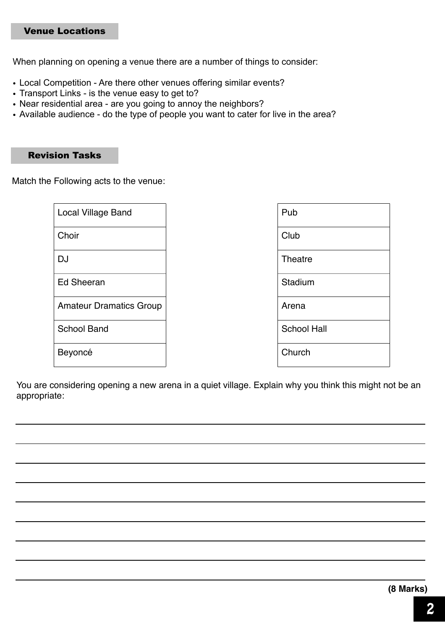### Venue Locations

When planning on opening a venue there are a number of things to consider:

- Local Competition Are there other venues offering similar events?
- Transport Links is the venue easy to get to?
- Near residential area are you going to annoy the neighbors?
- Available audience do the type of people you want to cater for live in the area?

#### Revision Tasks

Match the Following acts to the venue:

| <b>Local Village Band</b>      | Pub                |
|--------------------------------|--------------------|
| Choir                          | Club               |
| <b>DJ</b>                      | Theatre            |
| Ed Sheeran                     | Stadium            |
| <b>Amateur Dramatics Group</b> | Arena              |
| <b>School Band</b>             | <b>School Hall</b> |
| Beyoncé                        | Church             |

You are considering opening a new arena in a quiet village. Explain why you think this might not be an appropriate: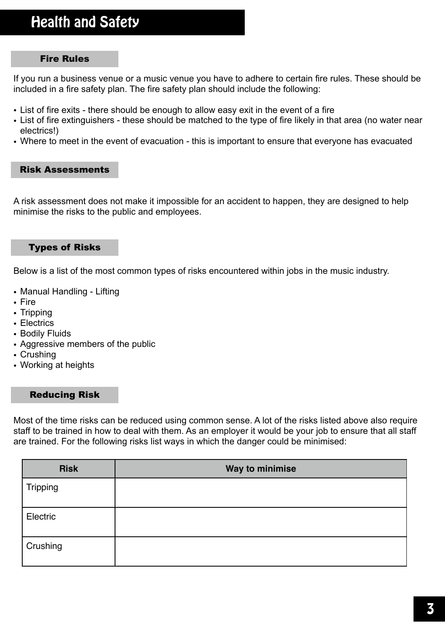# Health and Safety

#### Fire Rules

If you run a business venue or a music venue you have to adhere to certain fire rules. These should be included in a fire safety plan. The fire safety plan should include the following:

- List of fire exits there should be enough to allow easy exit in the event of a fire
- List of fire extinguishers these should be matched to the type of fire likely in that area (no water near electrics!)
- Where to meet in the event of evacuation this is important to ensure that everyone has evacuated

#### Risk Assessments

A risk assessment does not make it impossible for an accident to happen, they are designed to help minimise the risks to the public and employees.

#### Types of Risks

Below is a list of the most common types of risks encountered within jobs in the music industry.

- Manual Handling Lifting
- Fire
- Tripping
- Electrics
- Bodily Fluids
- Aggressive members of the public
- Crushing
- Working at heights

#### Reducing Risk

Most of the time risks can be reduced using common sense. A lot of the risks listed above also require staff to be trained in how to deal with them. As an employer it would be your job to ensure that all staff are trained. For the following risks list ways in which the danger could be minimised:

| <b>Risk</b>     | Way to minimise |
|-----------------|-----------------|
| <b>Tripping</b> |                 |
| Electric        |                 |
| Crushing        |                 |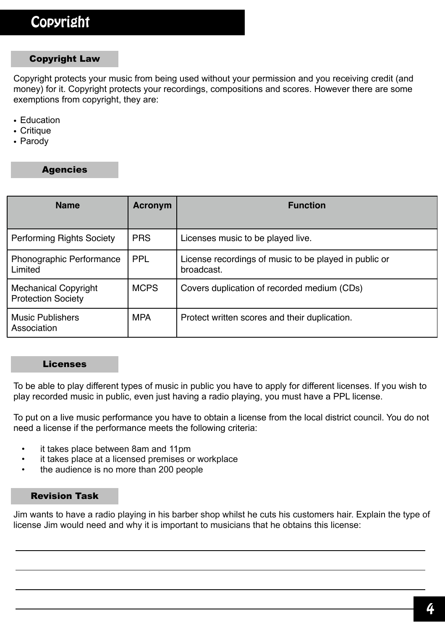### Copyright Law

Copyright protects your music from being used without your permission and you receiving credit (and money) for it. Copyright protects your recordings, compositions and scores. However there are some exemptions from copyright, they are:

- Education
- Critique
- Parody

### Agencies

| <b>Name</b>                                              | <b>Acronym</b> | <b>Function</b>                                                     |
|----------------------------------------------------------|----------------|---------------------------------------------------------------------|
| <b>Performing Rights Society</b>                         | <b>PRS</b>     | Licenses music to be played live.                                   |
| Phonographic Performance<br>Limited                      | <b>PPL</b>     | License recordings of music to be played in public or<br>broadcast. |
| <b>Mechanical Copyright</b><br><b>Protection Society</b> | <b>MCPS</b>    | Covers duplication of recorded medium (CDs)                         |
| <b>Music Publishers</b><br>Association                   | <b>MPA</b>     | Protect written scores and their duplication.                       |

#### Licenses

To be able to play different types of music in public you have to apply for different licenses. If you wish to play recorded music in public, even just having a radio playing, you must have a PPL license.

To put on a live music performance you have to obtain a license from the local district council. You do not need a license if the performance meets the following criteria:

- it takes place between 8am and 11pm
- it takes place at a licensed premises or workplace
- the audience is no more than 200 people

#### Revision Task

Jim wants to have a radio playing in his barber shop whilst he cuts his customers hair. Explain the type of license Jim would need and why it is important to musicians that he obtains this license: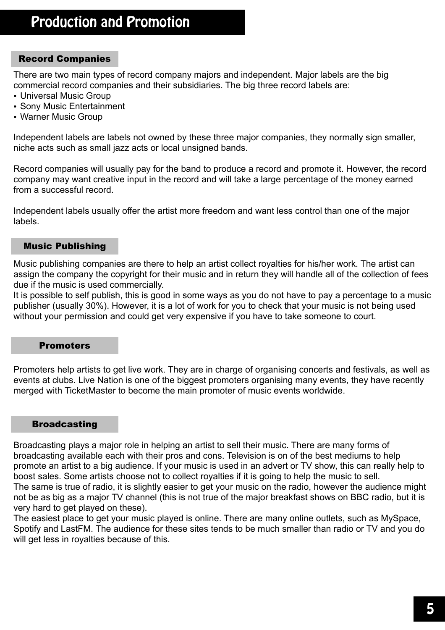### Record Companies

There are two main types of record company majors and independent. Major labels are the big commercial record companies and their subsidiaries. The big three record labels are:

- Universal Music Group
- Sony Music Entertainment
- Warner Music Group

Independent labels are labels not owned by these three major companies, they normally sign smaller, niche acts such as small jazz acts or local unsigned bands.

Record companies will usually pay for the band to produce a record and promote it. However, the record company may want creative input in the record and will take a large percentage of the money earned from a successful record.

Independent labels usually offer the artist more freedom and want less control than one of the major labels.

#### Music Publishing

Music publishing companies are there to help an artist collect royalties for his/her work. The artist can assign the company the copyright for their music and in return they will handle all of the collection of fees due if the music is used commercially.

It is possible to self publish, this is good in some ways as you do not have to pay a percentage to a music publisher (usually 30%). However, it is a lot of work for you to check that your music is not being used without your permission and could get very expensive if you have to take someone to court.

#### Promoters

Promoters help artists to get live work. They are in charge of organising concerts and festivals, as well as events at clubs. Live Nation is one of the biggest promoters organising many events, they have recently merged with TicketMaster to become the main promoter of music events worldwide.

#### **Broadcasting**

Broadcasting plays a major role in helping an artist to sell their music. There are many forms of broadcasting available each with their pros and cons. Television is on of the best mediums to help promote an artist to a big audience. If your music is used in an advert or TV show, this can really help to boost sales. Some artists choose not to collect royalties if it is going to help the music to sell. The same is true of radio, it is slightly easier to get your music on the radio, however the audience might not be as big as a major TV channel (this is not true of the major breakfast shows on BBC radio, but it is very hard to get played on these).

The easiest place to get your music played is online. There are many online outlets, such as MySpace, Spotify and LastFM. The audience for these sites tends to be much smaller than radio or TV and you do will get less in royalties because of this.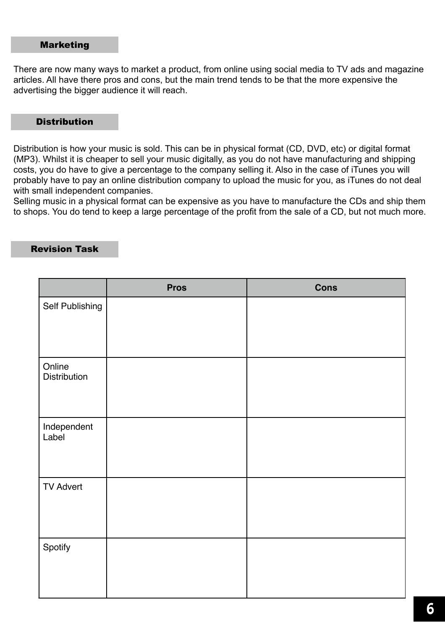#### Marketing

There are now many ways to market a product, from online using social media to TV ads and magazine articles. All have there pros and cons, but the main trend tends to be that the more expensive the advertising the bigger audience it will reach.

#### **Distribution**

Distribution is how your music is sold. This can be in physical format (CD, DVD, etc) or digital format (MP3). Whilst it is cheaper to sell your music digitally, as you do not have manufacturing and shipping costs, you do have to give a percentage to the company selling it. Also in the case of iTunes you will probably have to pay an online distribution company to upload the music for you, as iTunes do not deal with small independent companies.

Selling music in a physical format can be expensive as you have to manufacture the CDs and ship them to shops. You do tend to keep a large percentage of the profit from the sale of a CD, but not much more.

#### Revision Task

|                        | <b>Pros</b> | <b>Cons</b> |
|------------------------|-------------|-------------|
| Self Publishing        |             |             |
| Online<br>Distribution |             |             |
| Independent<br>Label   |             |             |
| <b>TV Advert</b>       |             |             |
| Spotify                |             |             |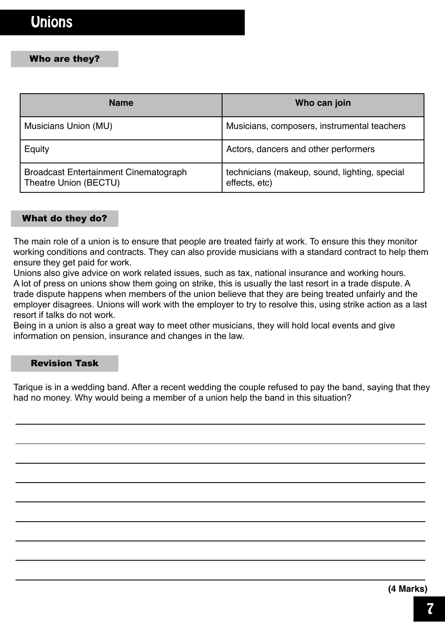#### Who are they?

| <b>Name</b>                                                           | Who can join                                                   |
|-----------------------------------------------------------------------|----------------------------------------------------------------|
| Musicians Union (MU)                                                  | Musicians, composers, instrumental teachers                    |
| Equity                                                                | Actors, dancers and other performers                           |
| <b>Broadcast Entertainment Cinematograph</b><br>Theatre Union (BECTU) | technicians (makeup, sound, lighting, special<br>effects, etc) |

#### What do they do?

The main role of a union is to ensure that people are treated fairly at work. To ensure this they monitor working conditions and contracts. They can also provide musicians with a standard contract to help them ensure they get paid for work.

Unions also give advice on work related issues, such as tax, national insurance and working hours. A lot of press on unions show them going on strike, this is usually the last resort in a trade dispute. A trade dispute happens when members of the union believe that they are being treated unfairly and the employer disagrees. Unions will work with the employer to try to resolve this, using strike action as a last resort if talks do not work.

Being in a union is also a great way to meet other musicians, they will hold local events and give information on pension, insurance and changes in the law.

#### Revision Task

Tarique is in a wedding band. After a recent wedding the couple refused to pay the band, saying that they had no money. Why would being a member of a union help the band in this situation?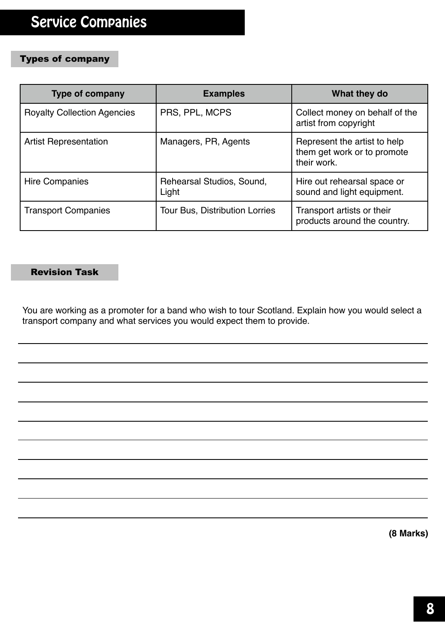# Types of company

| <b>Type of company</b>             | <b>Examples</b>                       | What they do                                                               |
|------------------------------------|---------------------------------------|----------------------------------------------------------------------------|
| <b>Royalty Collection Agencies</b> | PRS, PPL, MCPS                        | Collect money on behalf of the<br>artist from copyright                    |
| <b>Artist Representation</b>       | Managers, PR, Agents                  | Represent the artist to help<br>them get work or to promote<br>their work. |
| Hire Companies                     | Rehearsal Studios, Sound,<br>Light    | Hire out rehearsal space or<br>sound and light equipment.                  |
| <b>Transport Companies</b>         | <b>Tour Bus, Distribution Lorries</b> | Transport artists or their<br>products around the country.                 |

#### Revision Task

You are working as a promoter for a band who wish to tour Scotland. Explain how you would select a transport company and what services you would expect them to provide.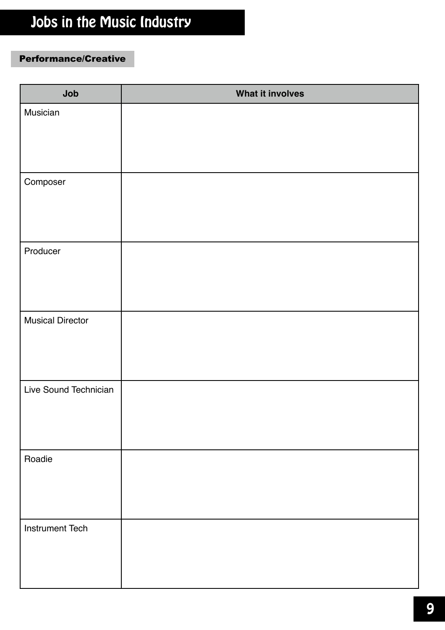# Jobs in the Music Industry

# Performance/Creative

| Job                     | What it involves |
|-------------------------|------------------|
| Musician                |                  |
|                         |                  |
| Composer                |                  |
|                         |                  |
| Producer                |                  |
|                         |                  |
| <b>Musical Director</b> |                  |
|                         |                  |
| Live Sound Technician   |                  |
|                         |                  |
| Roadie                  |                  |
|                         |                  |
| <b>Instrument Tech</b>  |                  |
|                         |                  |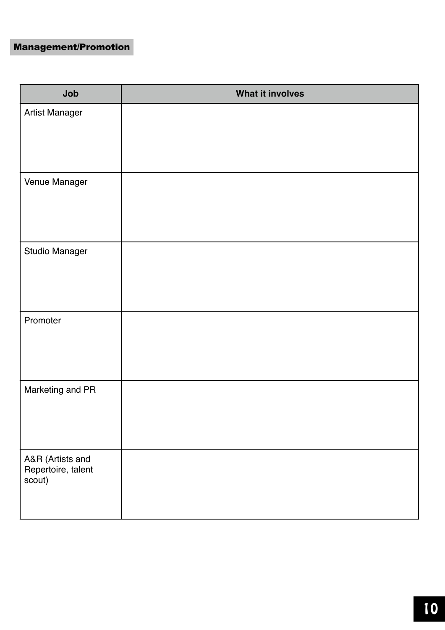## Management/Promotion

| Job                                              | What it involves |
|--------------------------------------------------|------------------|
| Artist Manager                                   |                  |
| Venue Manager                                    |                  |
| <b>Studio Manager</b>                            |                  |
| Promoter                                         |                  |
| Marketing and PR                                 |                  |
| A&R (Artists and<br>Repertoire, talent<br>scout) |                  |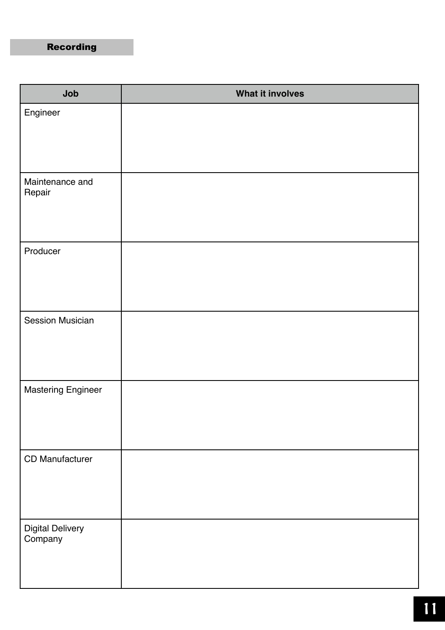# Recording

| Job                         | What it involves |
|-----------------------------|------------------|
| Engineer                    |                  |
| Maintenance and<br>Repair   |                  |
| Producer                    |                  |
| <b>Session Musician</b>     |                  |
| <b>Mastering Engineer</b>   |                  |
| CD Manufacturer             |                  |
| Digital Delivery<br>Company |                  |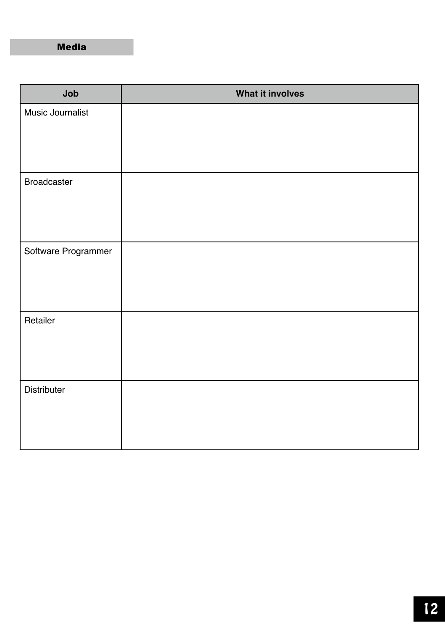Media

| Job                 | What it involves |
|---------------------|------------------|
| Music Journalist    |                  |
| <b>Broadcaster</b>  |                  |
| Software Programmer |                  |
| Retailer            |                  |
| Distributer         |                  |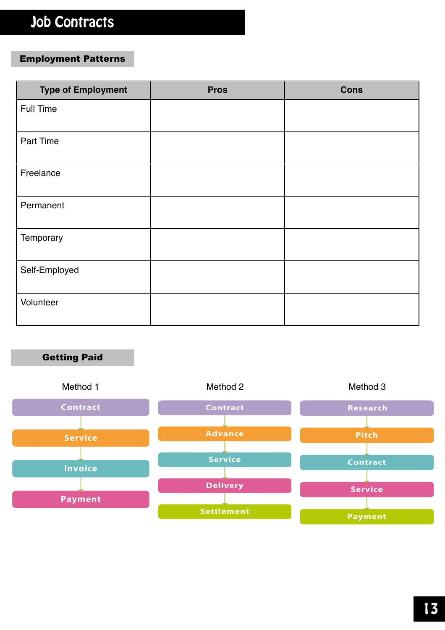# Job Contracts

### Employment Patterns

| <b>Type of Employment</b> | <b>Pros</b> | <b>Cons</b> |
|---------------------------|-------------|-------------|
| Full Time                 |             |             |
| Part Time                 |             |             |
| Freelance                 |             |             |
| Permanent                 |             |             |
| Temporary                 |             |             |
| Self-Employed             |             |             |
| Volunteer                 |             |             |

## Getting Paid

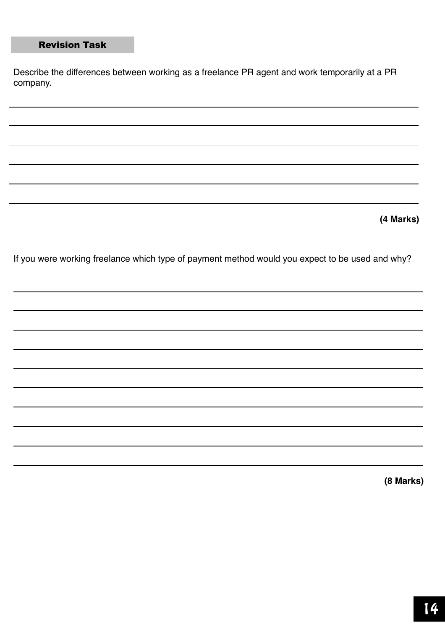## Revision Task

Describe the differences between working as a freelance PR agent and work temporarily at a PR company.

**(4 Marks)**

If you were working freelance which type of payment method would you expect to be used and why?

**(8 Marks)**